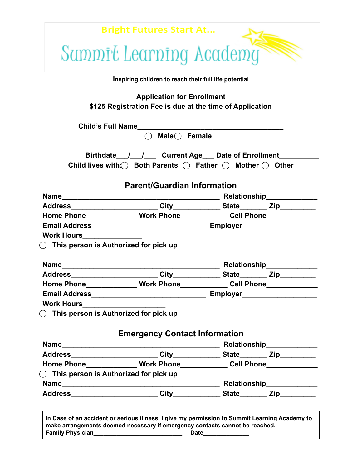|                                                                                          | Sammit Learning Academy                                                                                                                                        |                                                                             |  |
|------------------------------------------------------------------------------------------|----------------------------------------------------------------------------------------------------------------------------------------------------------------|-----------------------------------------------------------------------------|--|
|                                                                                          | Inspiring children to reach their full life potential                                                                                                          |                                                                             |  |
|                                                                                          | <b>Application for Enrollment</b><br>\$125 Registration Fee is due at the time of Application                                                                  |                                                                             |  |
|                                                                                          |                                                                                                                                                                |                                                                             |  |
|                                                                                          | $\bigcirc$ Male $\bigcirc$ Female                                                                                                                              |                                                                             |  |
|                                                                                          | Birthdate___/___/____ Current Age___ Date of Enrollment______<br>Child lives with $\bigcirc$ Both Parents $\bigcirc$ Father $\bigcirc$ Mother $\bigcirc$ Other |                                                                             |  |
|                                                                                          | <b>Parent/Guardian Information</b>                                                                                                                             |                                                                             |  |
|                                                                                          |                                                                                                                                                                |                                                                             |  |
|                                                                                          |                                                                                                                                                                |                                                                             |  |
|                                                                                          |                                                                                                                                                                | Home Phone_______________ Work Phone______________ Cell Phone______________ |  |
|                                                                                          |                                                                                                                                                                |                                                                             |  |
|                                                                                          |                                                                                                                                                                |                                                                             |  |
| <b>Work Hours___________________</b><br>$\bigcirc$ This person is Authorized for pick up |                                                                                                                                                                |                                                                             |  |
|                                                                                          |                                                                                                                                                                |                                                                             |  |
|                                                                                          |                                                                                                                                                                |                                                                             |  |
|                                                                                          |                                                                                                                                                                |                                                                             |  |
|                                                                                          | Home Phone_______________ Work Phone______________ Cell Phone___________________                                                                               |                                                                             |  |
|                                                                                          |                                                                                                                                                                |                                                                             |  |
| $\bigcirc$ This person is Authorized for pick up                                         |                                                                                                                                                                |                                                                             |  |
|                                                                                          | <b>Emergency Contact Information</b>                                                                                                                           |                                                                             |  |
|                                                                                          |                                                                                                                                                                |                                                                             |  |
|                                                                                          |                                                                                                                                                                |                                                                             |  |
|                                                                                          |                                                                                                                                                                |                                                                             |  |
|                                                                                          | Home Phone_______________ Work Phone______________ Cell Phone___________________                                                                               |                                                                             |  |
| $\bigcap$ This person is Authorized for pick up                                          |                                                                                                                                                                |                                                                             |  |

**make arrangements deemed necessary if emergency contacts cannot be reached. Family Physician\_\_\_\_\_\_\_\_\_\_\_\_\_\_\_\_\_\_\_\_\_\_\_\_\_\_\_ Date\_\_\_\_\_\_\_\_\_\_\_\_\_\_**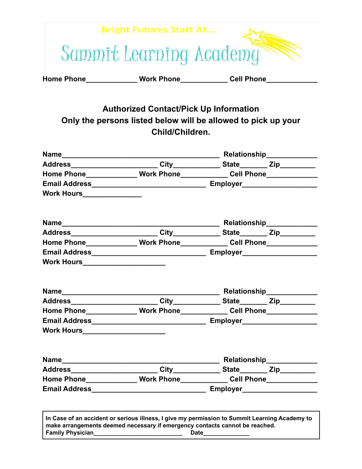|                   | <b>Bright Futures Start At</b> |                   |
|-------------------|--------------------------------|-------------------|
|                   | Sammit Learning Academy        |                   |
| <b>Home Phone</b> | <b>Work Phone</b>              | <b>Cell Phone</b> |

## **Authorized Contact/Pick Up Information Only the persons listed below will be allowed to pick up your Child/Children.**

|                                     | Home Phone______________Work Phone_____________Cell Phone_______________    |                                                                                  |  |  |
|-------------------------------------|-----------------------------------------------------------------------------|----------------------------------------------------------------------------------|--|--|
|                                     |                                                                             |                                                                                  |  |  |
| <b>Work Hours__________________</b> |                                                                             |                                                                                  |  |  |
|                                     |                                                                             |                                                                                  |  |  |
|                                     |                                                                             |                                                                                  |  |  |
|                                     |                                                                             | Home Phone_______________ Work Phone______________ Cell Phone___________________ |  |  |
|                                     |                                                                             |                                                                                  |  |  |
| Work Hours_____________________     |                                                                             |                                                                                  |  |  |
|                                     |                                                                             |                                                                                  |  |  |
|                                     |                                                                             |                                                                                  |  |  |
|                                     | Home Phone_______________ Work Phone______________ Cell Phone______________ |                                                                                  |  |  |
|                                     |                                                                             |                                                                                  |  |  |
| Work Hours________________________  |                                                                             |                                                                                  |  |  |
|                                     |                                                                             |                                                                                  |  |  |
|                                     |                                                                             |                                                                                  |  |  |
|                                     |                                                                             | Home Phone_______________ Work Phone______________ Cell Phone___________________ |  |  |
|                                     |                                                                             |                                                                                  |  |  |

**Family Physician\_\_\_\_\_\_\_\_\_\_\_\_\_\_\_\_\_\_\_\_\_\_\_\_\_\_\_ Date\_\_\_\_\_\_\_\_\_\_\_\_\_\_**